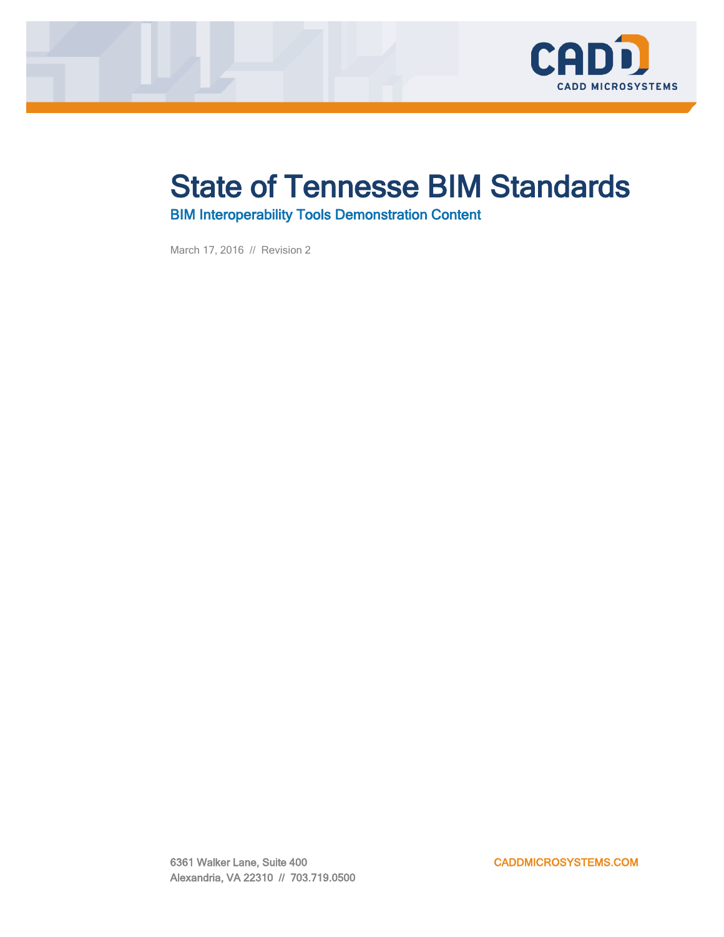

### State of Tennesse BIM Standards

BIM Interoperability Tools Demonstration Content

March 17, 2016 // Revision 2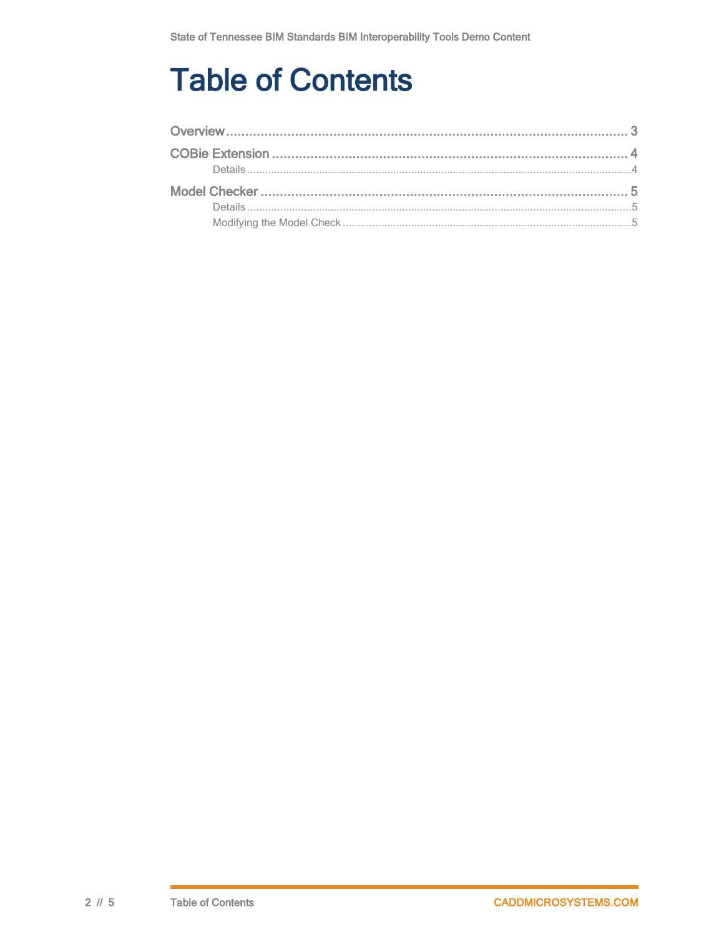# **Table of Contents**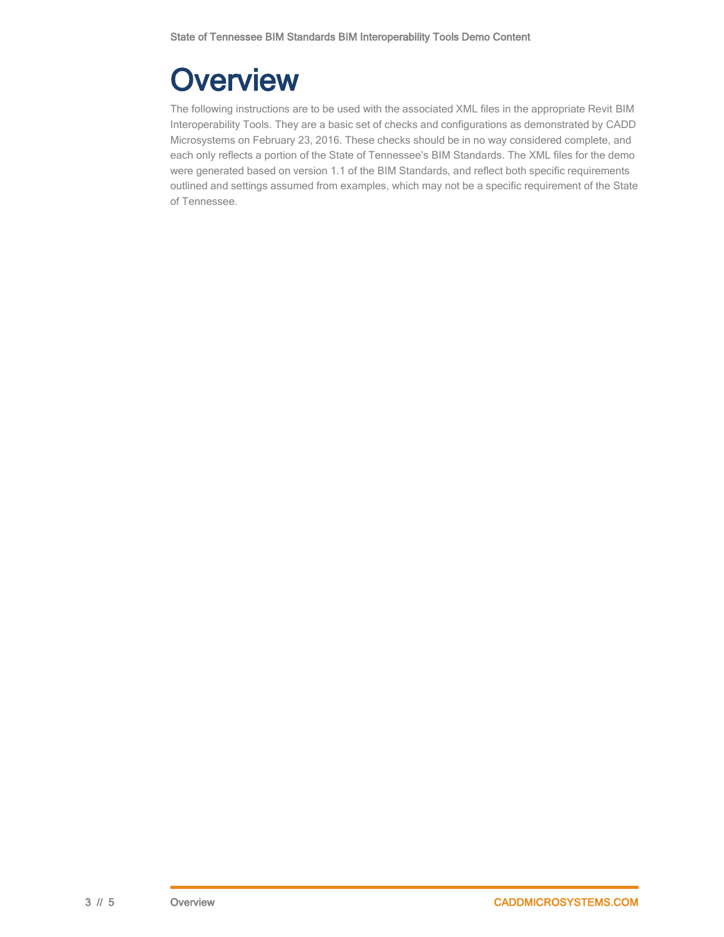# <span id="page-2-0"></span>**Overview**

The following instructions are to be used with the associated XML files in the appropriate Revit BIM Interoperability Tools. They are a basic set of checks and configurations as demonstrated by CADD Microsystems on February 23, 2016. These checks should be in no way considered complete, and each only reflects a portion of the State of Tennessee's BIM Standards. The XML files for the demo were generated based on version 1.1 of the BIM Standards, and reflect both specific requirements outlined and settings assumed from examples, which may not be a specific requirement of the State of Tennessee.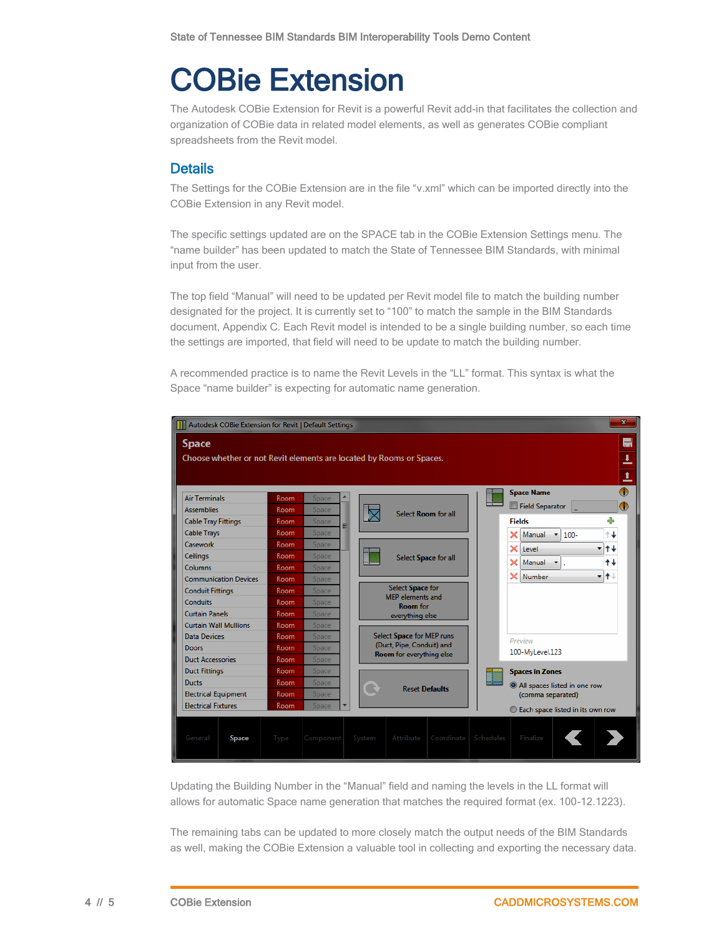### <span id="page-3-0"></span>COBie Extension

The Autodesk COBie Extension for Revit is a powerful Revit add-in that facilitates the collection and organization of COBie data in related model elements, as well as generates COBie compliant spreadsheets from the Revit model.

#### <span id="page-3-1"></span>**Details**

The Settings for the COBie Extension are in the file "v.xml" which can be imported directly into the COBie Extension in any Revit model.

The specific settings updated are on the SPACE tab in the COBie Extension Settings menu. The "name builder" has been updated to match the State of Tennessee BIM Standards, with minimal input from the user.

The top field "Manual" will need to be updated per Revit model file to match the building number designated for the project. It is currently set to "100" to match the sample in the BIM Standards document, Appendix C. Each Revit model is intended to be a single building number, so each time the settings are imported, that field will need to be update to match the building number.

A recommended practice is to name the Revit Levels in the "LL" format. This syntax is what the Space "name builder" is expecting for automatic name generation.



Updating the Building Number in the "Manual" field and naming the levels in the LL format will allows for automatic Space name generation that matches the required format (ex. 100-12.1223).

The remaining tabs can be updated to more closely match the output needs of the BIM Standards as well, making the COBie Extension a valuable tool in collecting and exporting the necessary data.